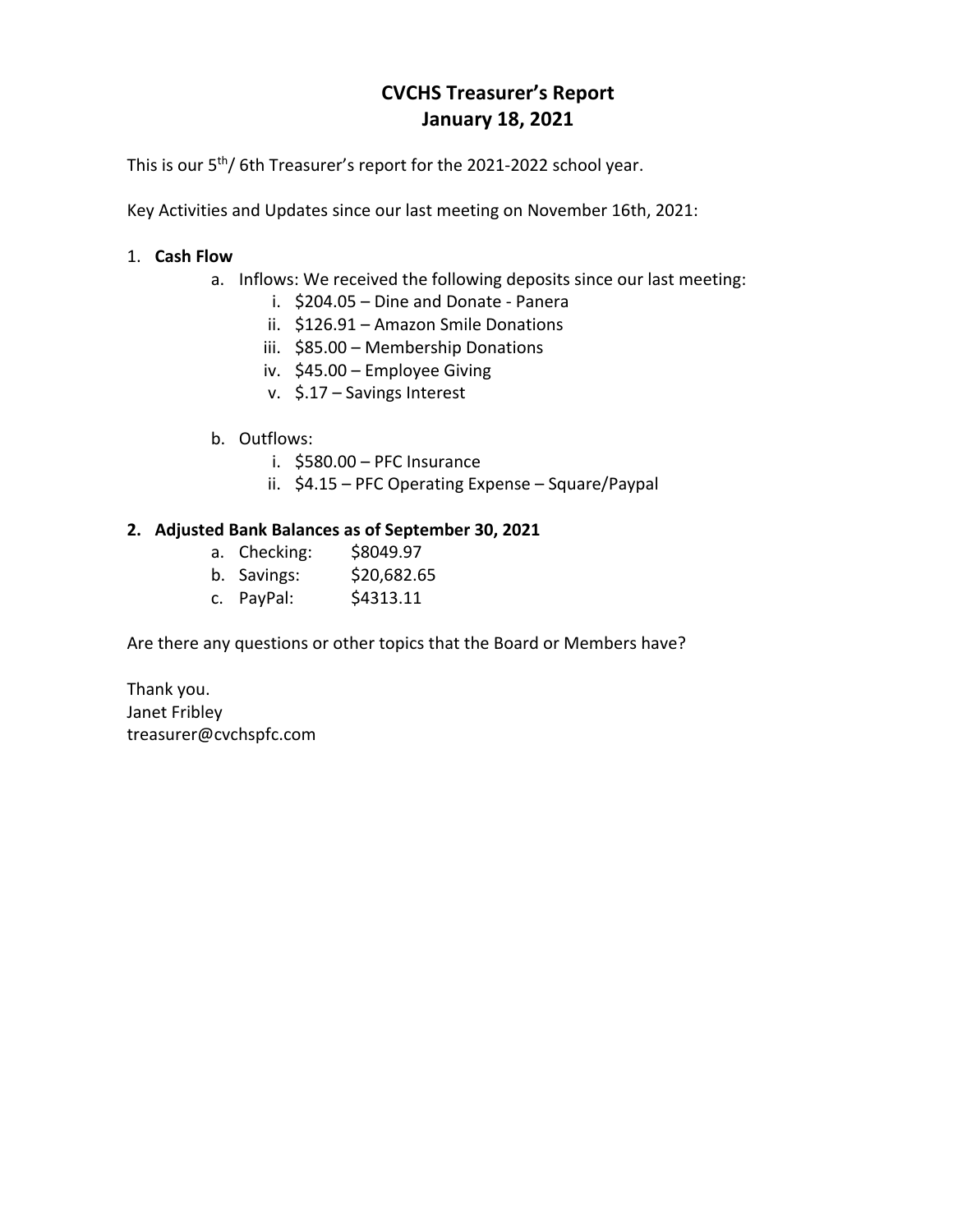# **CVCHS Treasurer's Report January 18, 2021**

This is our 5<sup>th</sup>/ 6th Treasurer's report for the 2021-2022 school year.

Key Activities and Updates since our last meeting on November 16th, 2021:

## 1. **Cash Flow**

- a. Inflows: We received the following deposits since our last meeting:
	- i. \$204.05 Dine and Donate Panera
	- ii. \$126.91 Amazon Smile Donations
	- iii. \$85.00 Membership Donations
	- iv. \$45.00 Employee Giving
	- v. \$.17 Savings Interest
- b. Outflows:
	- i. \$580.00 PFC Insurance
	- ii. \$4.15 PFC Operating Expense Square/Paypal

### **2. Adjusted Bank Balances as of September 30, 2021**

- a. Checking: \$8049.97
- b. Savings: \$20,682.65
- c. PayPal: \$4313.11

Are there any questions or other topics that the Board or Members have?

Thank you. Janet Fribley treasurer@cvchspfc.com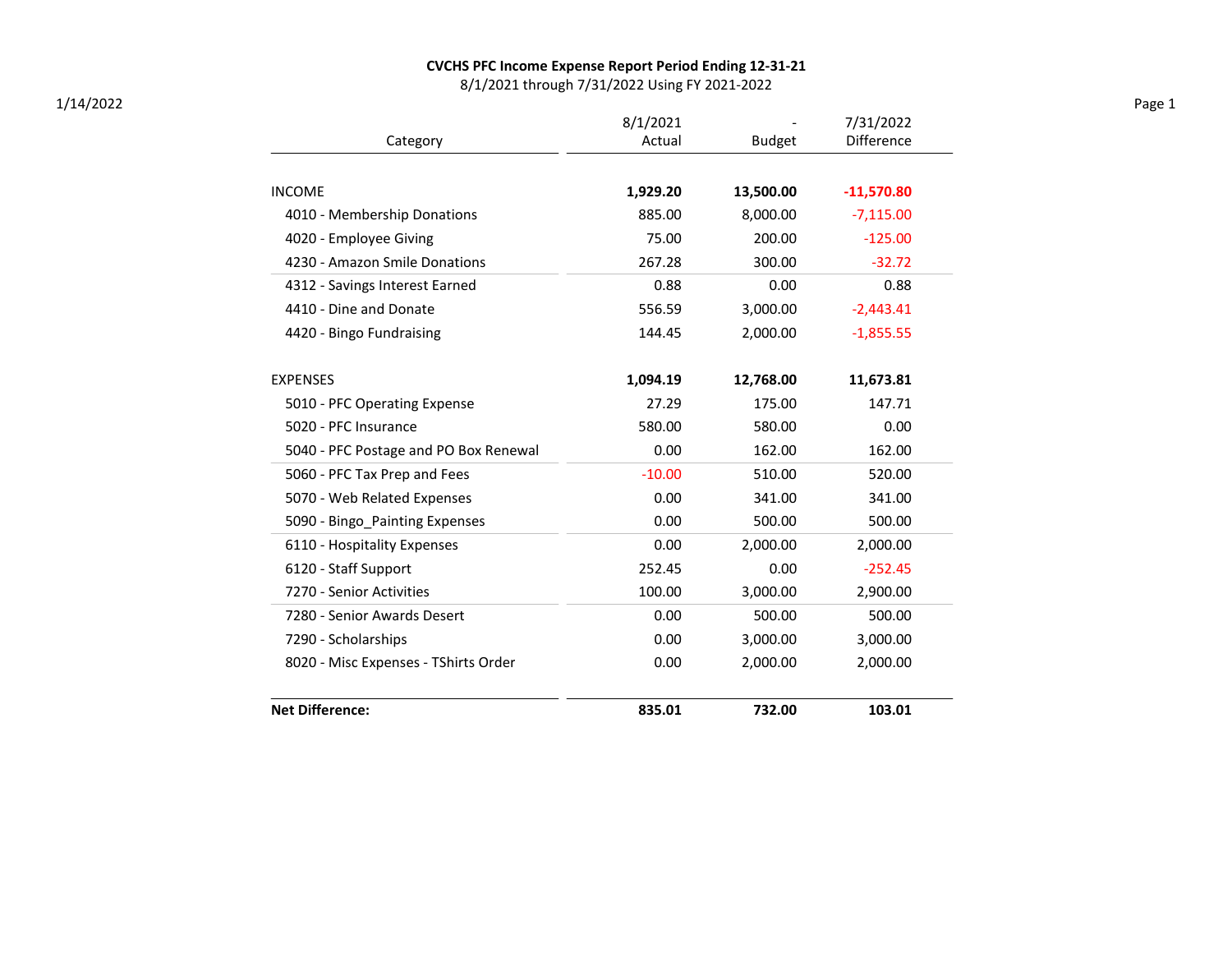#### CVCHS PFC Income Expense Report Period Ending 12-31-21

8/1/2021 through 7/31/2022 Using FY 2021-2022

|                                       | 8/1/2021 |               | 7/31/2022    |  |
|---------------------------------------|----------|---------------|--------------|--|
| Category                              | Actual   | <b>Budget</b> | Difference   |  |
|                                       |          |               |              |  |
| <b>INCOME</b>                         | 1,929.20 | 13,500.00     | $-11,570.80$ |  |
| 4010 - Membership Donations           | 885.00   | 8,000.00      | $-7,115.00$  |  |
| 4020 - Employee Giving                | 75.00    | 200.00        | $-125.00$    |  |
| 4230 - Amazon Smile Donations         | 267.28   | 300.00        | $-32.72$     |  |
| 4312 - Savings Interest Earned        | 0.88     | 0.00          | 0.88         |  |
| 4410 - Dine and Donate                | 556.59   | 3,000.00      | $-2,443.41$  |  |
| 4420 - Bingo Fundraising              | 144.45   | 2,000.00      | $-1,855.55$  |  |
| <b>EXPENSES</b>                       | 1,094.19 | 12,768.00     | 11,673.81    |  |
| 5010 - PFC Operating Expense          | 27.29    | 175.00        | 147.71       |  |
| 5020 - PFC Insurance                  | 580.00   | 580.00        | 0.00         |  |
| 5040 - PFC Postage and PO Box Renewal | 0.00     | 162.00        | 162.00       |  |
| 5060 - PFC Tax Prep and Fees          | $-10.00$ | 510.00        | 520.00       |  |
| 5070 - Web Related Expenses           | 0.00     | 341.00        | 341.00       |  |
| 5090 - Bingo Painting Expenses        | 0.00     | 500.00        | 500.00       |  |
| 6110 - Hospitality Expenses           | 0.00     | 2,000.00      | 2,000.00     |  |
| 6120 - Staff Support                  | 252.45   | 0.00          | $-252.45$    |  |
| 7270 - Senior Activities              | 100.00   | 3,000.00      | 2,900.00     |  |
| 7280 - Senior Awards Desert           | 0.00     | 500.00        | 500.00       |  |
| 7290 - Scholarships                   | 0.00     | 3,000.00      | 3,000.00     |  |
| 8020 - Misc Expenses - TShirts Order  | 0.00     | 2,000.00      | 2,000.00     |  |
| <b>Net Difference:</b>                | 835.01   | 732.00        | 103.01       |  |

1/14/2022 Page 1